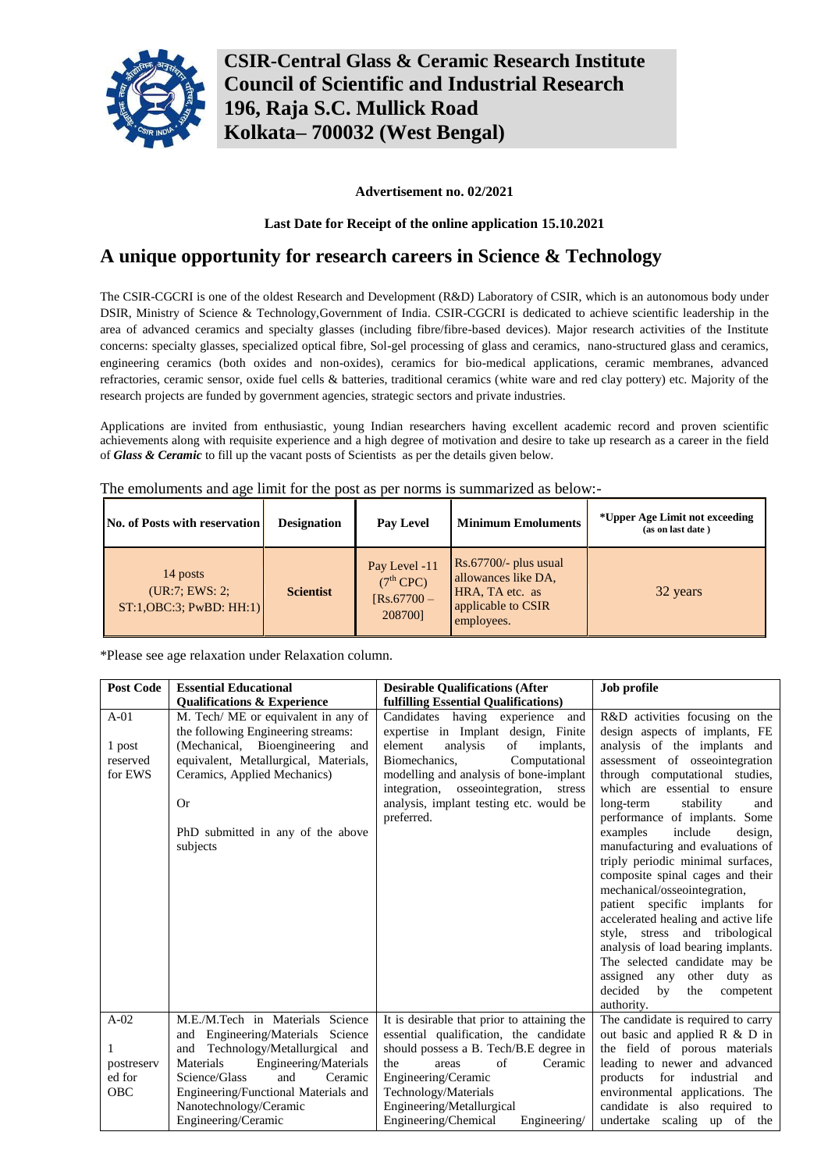

**CSIR-Central Glass & Ceramic Research Institute Council of Scientific and Industrial Research 196, Raja S.C. Mullick Road Kolkata– 700032 (West Bengal)**

## **Advertisement no. 02/2021**

# **Last Date for Receipt of the online application 15.10.2021**

# **A unique opportunity for research careers in Science & Technology**

The CSIR-CGCRI is one of the oldest Research and Development (R&D) Laboratory of CSIR, which is an autonomous body under DSIR, Ministry of Science & Technology,Government of India. CSIR-CGCRI is dedicated to achieve scientific leadership in the area of advanced ceramics and specialty glasses (including fibre/fibre-based devices). Major research activities of the Institute concerns: specialty glasses, specialized optical fibre, Sol-gel processing of glass and ceramics, nano-structured glass and ceramics, engineering ceramics (both oxides and non-oxides), ceramics for bio-medical applications, ceramic membranes, advanced refractories, ceramic sensor, oxide fuel cells & batteries, traditional ceramics (white ware and red clay pottery) etc. Majority of the research projects are funded by government agencies, strategic sectors and private industries.

Applications are invited from enthusiastic, young Indian researchers having excellent academic record and proven scientific achievements along with requisite experience and a high degree of motivation and desire to take up research as a career in the field of *Glass & Ceramic* to fill up the vacant posts of Scientists as per the details given below.

|  | The emoluments and age limit for the post as per norms is summarized as below:- |
|--|---------------------------------------------------------------------------------|
|  |                                                                                 |

| No. of Posts with reservation                             | <b>Designation</b> | <b>Pay Level</b>                                         | <b>Minimum Emoluments</b>                                                                             | *Upper Age Limit not exceeding<br>(as on last date) |
|-----------------------------------------------------------|--------------------|----------------------------------------------------------|-------------------------------------------------------------------------------------------------------|-----------------------------------------------------|
| 14 posts<br>(UR:7; EWS: 2;<br>$ST:1, OBC:3$ ; PwBD: HH:1) | <b>Scientist</b>   | Pay Level -11<br>$(7th$ CPC)<br>$[Rs.67700 -$<br>2087001 | $Rs.67700/-$ plus usual<br>allowances like DA,<br>HRA, TA etc. as<br>applicable to CSIR<br>employees. | 32 years                                            |

\*Please see age relaxation under Relaxation column.

| <b>Post Code</b> | <b>Essential Educational</b>                                              | <b>Desirable Qualifications (After</b>                                             | Job profile                                                      |
|------------------|---------------------------------------------------------------------------|------------------------------------------------------------------------------------|------------------------------------------------------------------|
|                  | <b>Qualifications &amp; Experience</b>                                    | fulfilling Essential Qualifications)                                               |                                                                  |
| $A-01$           | M. Tech/ ME or equivalent in any of<br>the following Engineering streams: | Candidates having experience<br>and<br>expertise in Implant design, Finite         | R&D activities focusing on the<br>design aspects of implants, FE |
| 1 post           | (Mechanical, Bioengineering<br>and                                        | element<br>of<br>analysis<br>implants,                                             | analysis of the implants and                                     |
| reserved         | equivalent, Metallurgical, Materials,                                     | Biomechanics.<br>Computational                                                     | assessment of osseointegration                                   |
| for EWS          | Ceramics, Applied Mechanics)                                              | modelling and analysis of bone-implant<br>integration, osseointegration,<br>stress | through computational studies,<br>which are essential to ensure  |
|                  | <b>Or</b>                                                                 | analysis, implant testing etc. would be<br>preferred.                              | long-term<br>stability<br>and<br>performance of implants. Some   |
|                  | PhD submitted in any of the above                                         |                                                                                    | examples<br>include<br>design,                                   |
|                  | subjects                                                                  |                                                                                    | manufacturing and evaluations of                                 |
|                  |                                                                           |                                                                                    | triply periodic minimal surfaces,                                |
|                  |                                                                           |                                                                                    | composite spinal cages and their                                 |
|                  |                                                                           |                                                                                    | mechanical/osseointegration,                                     |
|                  |                                                                           |                                                                                    | patient specific implants<br>for                                 |
|                  |                                                                           |                                                                                    | accelerated healing and active life                              |
|                  |                                                                           |                                                                                    | style, stress and tribological                                   |
|                  |                                                                           |                                                                                    | analysis of load bearing implants.                               |
|                  |                                                                           |                                                                                    | The selected candidate may be                                    |
|                  |                                                                           |                                                                                    | assigned<br>any<br>other<br>duty as                              |
|                  |                                                                           |                                                                                    | decided<br>by<br>the<br>competent<br>authority.                  |
| $A-02$           | M.E./M.Tech in Materials Science                                          | It is desirable that prior to attaining the                                        | The candidate is required to carry                               |
|                  | and Engineering/Materials Science                                         | essential qualification, the candidate                                             | out basic and applied R & D in                                   |
|                  | and Technology/Metallurgical and                                          | should possess a B. Tech/B.E degree in                                             | the field of porous materials                                    |
| postreserv       | Engineering/Materials<br>Materials                                        | of<br>Ceramic<br>the<br>areas                                                      | leading to newer and advanced                                    |
| ed for           | Science/Glass<br>and<br>Ceramic                                           | Engineering/Ceramic                                                                | products for industrial<br>and                                   |
| <b>OBC</b>       | Engineering/Functional Materials and                                      | Technology/Materials                                                               | environmental applications. The                                  |
|                  | Nanotechnology/Ceramic                                                    | Engineering/Metallurgical                                                          | candidate is also required to                                    |
|                  | Engineering/Ceramic                                                       | Engineering/Chemical<br>Engineering/                                               | undertake scaling up of the                                      |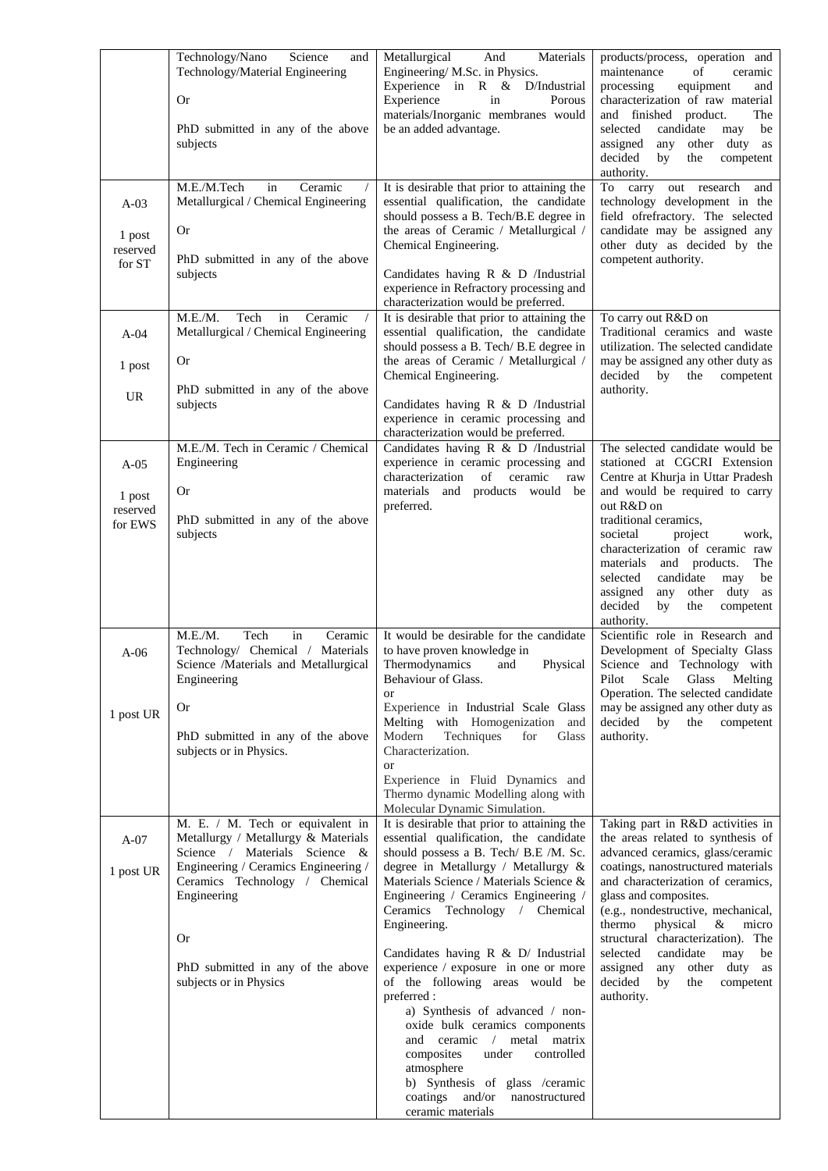|           | Technology/Nano<br>Science<br>and                                    | Metallurgical<br>And<br>Materials                                                 | products/process, operation and                                           |
|-----------|----------------------------------------------------------------------|-----------------------------------------------------------------------------------|---------------------------------------------------------------------------|
|           | Technology/Material Engineering                                      | Engineering/ M.Sc. in Physics.                                                    | maintenance<br>of<br>ceramic                                              |
|           |                                                                      | Experience in $R \& D/Industrial$                                                 | processing<br>equipment<br>and                                            |
|           | Or                                                                   | Experience<br>Porous<br>in                                                        | characterization of raw material                                          |
|           |                                                                      | materials/Inorganic membranes would                                               | and finished product.<br>The                                              |
|           | PhD submitted in any of the above                                    | be an added advantage.                                                            | candidate<br>selected<br>may<br>be                                        |
|           | subjects                                                             |                                                                                   | assigned<br>any<br>other<br>duty<br>as                                    |
|           |                                                                      |                                                                                   | decided<br>by<br>the<br>competent<br>authority.                           |
|           | Ceramic<br>M.E./M.Tech<br>in                                         | It is desirable that prior to attaining the                                       | out research<br>To carry<br>and                                           |
| $A-03$    | Metallurgical / Chemical Engineering                                 | essential qualification, the candidate                                            | technology development in the                                             |
|           |                                                                      | should possess a B. Tech/B.E degree in                                            | field ofrefractory. The selected                                          |
| 1 post    | 0r                                                                   | the areas of Ceramic / Metallurgical /                                            | candidate may be assigned any                                             |
| reserved  |                                                                      | Chemical Engineering.                                                             | other duty as decided by the                                              |
| for ST    | PhD submitted in any of the above                                    |                                                                                   | competent authority.                                                      |
|           | subjects                                                             | Candidates having $R \& D$ /Industrial                                            |                                                                           |
|           |                                                                      | experience in Refractory processing and                                           |                                                                           |
|           |                                                                      | characterization would be preferred.                                              |                                                                           |
|           | M.E.M.<br>Tech<br>Ceramic<br>in                                      | It is desirable that prior to attaining the                                       | To carry out R&D on                                                       |
| $A-04$    | Metallurgical / Chemical Engineering                                 | essential qualification, the candidate                                            | Traditional ceramics and waste                                            |
|           | 0r                                                                   | should possess a B. Tech/ B.E degree in<br>the areas of Ceramic / Metallurgical / | utilization. The selected candidate<br>may be assigned any other duty as  |
| 1 post    |                                                                      | Chemical Engineering.                                                             | decided<br>by<br>the<br>competent                                         |
|           | PhD submitted in any of the above                                    |                                                                                   | authority.                                                                |
| <b>UR</b> | subjects                                                             | Candidates having R & D /Industrial                                               |                                                                           |
|           |                                                                      | experience in ceramic processing and                                              |                                                                           |
|           |                                                                      | characterization would be preferred.                                              |                                                                           |
|           | M.E./M. Tech in Ceramic / Chemical                                   | Candidates having R & D /Industrial                                               | The selected candidate would be                                           |
| $A-05$    | Engineering                                                          | experience in ceramic processing and                                              | stationed at CGCRI Extension                                              |
|           | Or                                                                   | characterization<br>of<br>ceramic<br>raw<br>materials and products would be       | Centre at Khurja in Uttar Pradesh<br>and would be required to carry       |
| 1 post    |                                                                      | preferred.                                                                        | out R&D on                                                                |
| reserved  | PhD submitted in any of the above                                    |                                                                                   | traditional ceramics,                                                     |
| for EWS   | subjects                                                             |                                                                                   | project<br>societal<br>work,                                              |
|           |                                                                      |                                                                                   | characterization of ceramic raw                                           |
|           |                                                                      |                                                                                   | materials and products.<br>The                                            |
|           |                                                                      |                                                                                   | selected<br>candidate<br>may<br>be                                        |
|           |                                                                      |                                                                                   | assigned<br>any<br>other duty as                                          |
|           |                                                                      |                                                                                   | decided<br>by<br>the<br>competent                                         |
|           | M.E.M.                                                               | It would be desirable for the candidate                                           | authority.<br>Scientific role in Research and                             |
|           | in<br>Tech<br>Ceramic<br>Technology/ Chemical / Materials            | to have proven knowledge in                                                       | Development of Specialty Glass                                            |
| $A-06$    | Science /Materials and Metallurgical                                 | Thermodynamics<br>Physical<br>and                                                 | Science and Technology with                                               |
|           | Engineering                                                          | Behaviour of Glass.                                                               | Pilot<br>Scale<br>Glass<br>Melting                                        |
|           |                                                                      | <b>or</b>                                                                         | Operation. The selected candidate                                         |
|           |                                                                      |                                                                                   |                                                                           |
|           | Or                                                                   | Experience in Industrial Scale Glass                                              | may be assigned any other duty as                                         |
| 1 post UR |                                                                      | Melting with Homogenization and                                                   | decided<br>by<br>competent<br>the                                         |
|           | PhD submitted in any of the above                                    | Modern<br>Techniques<br>for<br>Glass                                              | authority.                                                                |
|           | subjects or in Physics.                                              | Characterization.                                                                 |                                                                           |
|           |                                                                      | or                                                                                |                                                                           |
|           |                                                                      | Experience in Fluid Dynamics and                                                  |                                                                           |
|           |                                                                      | Thermo dynamic Modelling along with                                               |                                                                           |
|           |                                                                      | Molecular Dynamic Simulation.                                                     |                                                                           |
|           | M. E. / M. Tech or equivalent in                                     | It is desirable that prior to attaining the                                       | Taking part in R&D activities in                                          |
| $A-07$    | Metallurgy / Metallurgy & Materials<br>Science / Materials Science & | essential qualification, the candidate<br>should possess a B. Tech/ B.E /M. Sc.   | the areas related to synthesis of<br>advanced ceramics, glass/ceramic     |
|           | Engineering / Ceramics Engineering /                                 | degree in Metallurgy / Metallurgy $\&$                                            | coatings, nanostructured materials                                        |
| 1 post UR | Ceramics Technology / Chemical                                       | Materials Science / Materials Science &                                           | and characterization of ceramics,                                         |
|           | Engineering                                                          | Engineering / Ceramics Engineering /                                              | glass and composites.                                                     |
|           |                                                                      | Ceramics Technology / Chemical                                                    | (e.g., nondestructive, mechanical,                                        |
|           |                                                                      | Engineering.                                                                      | thermo<br>physical<br>&<br>micro                                          |
|           | Or                                                                   |                                                                                   | structural characterization). The                                         |
|           | PhD submitted in any of the above                                    | Candidates having $R \& D/$ Industrial<br>experience / exposure in one or more    | selected<br>candidate<br>may<br>be<br>assigned<br>any<br>other<br>duty as |
|           | subjects or in Physics                                               | of the following areas would be                                                   | decided<br>by<br>the<br>competent                                         |
|           |                                                                      | preferred:                                                                        | authority.                                                                |
|           |                                                                      | a) Synthesis of advanced / non-                                                   |                                                                           |
|           |                                                                      | oxide bulk ceramics components                                                    |                                                                           |
|           |                                                                      | and ceramic / metal matrix                                                        |                                                                           |
|           |                                                                      | composites<br>under<br>controlled                                                 |                                                                           |
|           |                                                                      | atmosphere                                                                        |                                                                           |
|           |                                                                      | b) Synthesis of glass /ceramic<br>coatings and/or<br>nanostructured               |                                                                           |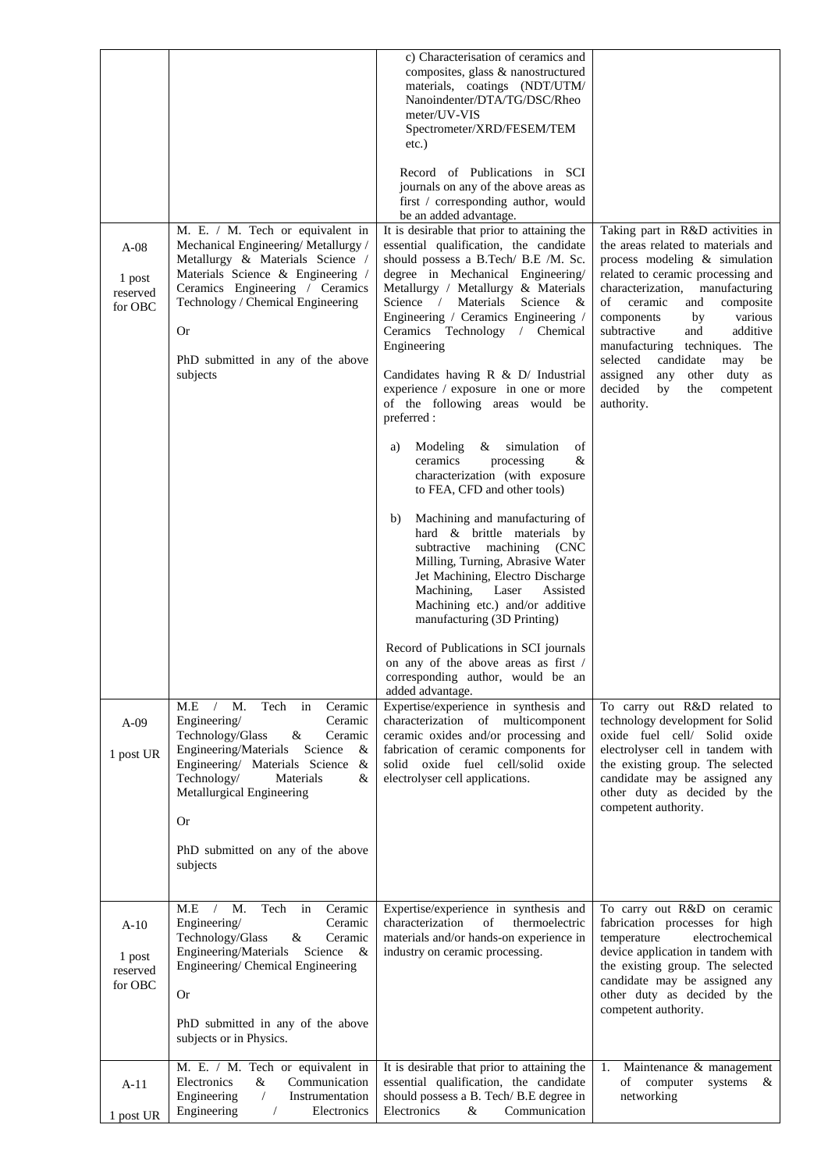| $A-08$<br>1 post<br>reserved<br>for OBC | M. E. / M. Tech or equivalent in<br>Mechanical Engineering/Metallurgy/<br>Metallurgy & Materials Science /<br>Materials Science & Engineering /<br>Ceramics Engineering / Ceramics<br>Technology / Chemical Engineering<br><b>Or</b><br>PhD submitted in any of the above<br>subjects        | c) Characterisation of ceramics and<br>composites, glass & nanostructured<br>materials, coatings (NDT/UTM/<br>Nanoindenter/DTA/TG/DSC/Rheo<br>meter/UV-VIS<br>Spectrometer/XRD/FESEM/TEM<br>$etc.$ )<br>Record of Publications in SCI<br>journals on any of the above areas as<br>first / corresponding author, would<br>be an added advantage.<br>It is desirable that prior to attaining the<br>essential qualification, the candidate<br>should possess a B.Tech/ B.E /M. Sc.<br>degree in Mechanical Engineering/<br>Metallurgy / Metallurgy & Materials<br>Science / Materials<br>Science<br>$-\&$<br>Engineering / Ceramics Engineering /<br>Ceramics Technology / Chemical<br>Engineering<br>Candidates having $R \& D /$ Industrial<br>experience / exposure in one or more<br>of the following areas would be<br>preferred:<br>simulation<br>of<br>Modeling<br>$\&$<br>a)<br>ceramics<br>processing<br>&<br>characterization (with exposure<br>to FEA, CFD and other tools)<br>Machining and manufacturing of<br>b)<br>hard & brittle materials by<br>subtractive machining (CNC<br>Milling, Turning, Abrasive Water<br>Jet Machining, Electro Discharge<br>Machining,<br>Laser<br>Assisted<br>Machining etc.) and/or additive | Taking part in R&D activities in<br>the areas related to materials and<br>process modeling $\&$ simulation<br>related to ceramic processing and<br>characterization, manufacturing<br>of<br>ceramic<br>and<br>composite<br>by<br>various<br>components<br>subtractive<br>additive<br>and<br>manufacturing<br>techniques. The<br>selected<br>candidate<br>may<br>be<br>assigned<br>any<br>other duty as<br>decided<br>competent<br>by<br>the<br>authority. |
|-----------------------------------------|----------------------------------------------------------------------------------------------------------------------------------------------------------------------------------------------------------------------------------------------------------------------------------------------|-----------------------------------------------------------------------------------------------------------------------------------------------------------------------------------------------------------------------------------------------------------------------------------------------------------------------------------------------------------------------------------------------------------------------------------------------------------------------------------------------------------------------------------------------------------------------------------------------------------------------------------------------------------------------------------------------------------------------------------------------------------------------------------------------------------------------------------------------------------------------------------------------------------------------------------------------------------------------------------------------------------------------------------------------------------------------------------------------------------------------------------------------------------------------------------------------------------------------------------------|-----------------------------------------------------------------------------------------------------------------------------------------------------------------------------------------------------------------------------------------------------------------------------------------------------------------------------------------------------------------------------------------------------------------------------------------------------------|
| $A-09$<br>1 post UR                     | Tech in<br>Ceramic<br>M.E<br>M.<br>$\sqrt{2}$<br>Engineering/<br>Ceramic<br>Technology/Glass<br>&<br>Ceramic<br>Engineering/Materials<br>Science<br>&<br>Engineering/ Materials Science<br>&                                                                                                 | manufacturing (3D Printing)<br>Record of Publications in SCI journals<br>on any of the above areas as first /<br>corresponding author, would be an<br>added advantage.<br>Expertise/experience in synthesis and<br>characterization of multicomponent<br>ceramic oxides and/or processing and<br>fabrication of ceramic components for<br>solid oxide fuel cell/solid<br>oxide                                                                                                                                                                                                                                                                                                                                                                                                                                                                                                                                                                                                                                                                                                                                                                                                                                                          | To carry out R&D related to<br>technology development for Solid<br>oxide fuel cell/ Solid oxide<br>electrolyser cell in tandem with<br>the existing group. The selected                                                                                                                                                                                                                                                                                   |
|                                         | Technology/<br>Materials<br>&<br>Metallurgical Engineering<br><b>Or</b><br>PhD submitted on any of the above<br>subjects                                                                                                                                                                     | electrolyser cell applications.                                                                                                                                                                                                                                                                                                                                                                                                                                                                                                                                                                                                                                                                                                                                                                                                                                                                                                                                                                                                                                                                                                                                                                                                         | candidate may be assigned any<br>other duty as decided by the<br>competent authority.                                                                                                                                                                                                                                                                                                                                                                     |
| $A-10$<br>1 post<br>reserved<br>for OBC | M.E<br>Tech<br>in<br>Ceramic<br>M.<br>$\sqrt{2}$<br>Engineering/<br>Ceramic<br>Technology/Glass<br>&<br>Ceramic<br>Engineering/Materials<br>Science<br>$\boldsymbol{\mathcal{X}}$<br>Engineering/ Chemical Engineering<br>Or<br>PhD submitted in any of the above<br>subjects or in Physics. | Expertise/experience in synthesis and<br>of<br>thermoelectric<br>characterization<br>materials and/or hands-on experience in<br>industry on ceramic processing.                                                                                                                                                                                                                                                                                                                                                                                                                                                                                                                                                                                                                                                                                                                                                                                                                                                                                                                                                                                                                                                                         | To carry out R&D on ceramic<br>fabrication processes for high<br>temperature<br>electrochemical<br>device application in tandem with<br>the existing group. The selected<br>candidate may be assigned any<br>other duty as decided by the<br>competent authority.                                                                                                                                                                                         |
| $A-11$<br>1 post UR                     | M. E. / M. Tech or equivalent in<br>Communication<br>Electronics<br>&<br>Engineering<br>$\sqrt{2}$<br>Instrumentation<br>Engineering<br>$\sqrt{2}$<br>Electronics                                                                                                                            | It is desirable that prior to attaining the<br>essential qualification, the candidate<br>should possess a B. Tech/ B.E degree in<br>Electronics<br>Communication<br>&                                                                                                                                                                                                                                                                                                                                                                                                                                                                                                                                                                                                                                                                                                                                                                                                                                                                                                                                                                                                                                                                   | Maintenance & management<br>1.<br>of computer<br>systems<br>$\alpha$<br>networking                                                                                                                                                                                                                                                                                                                                                                        |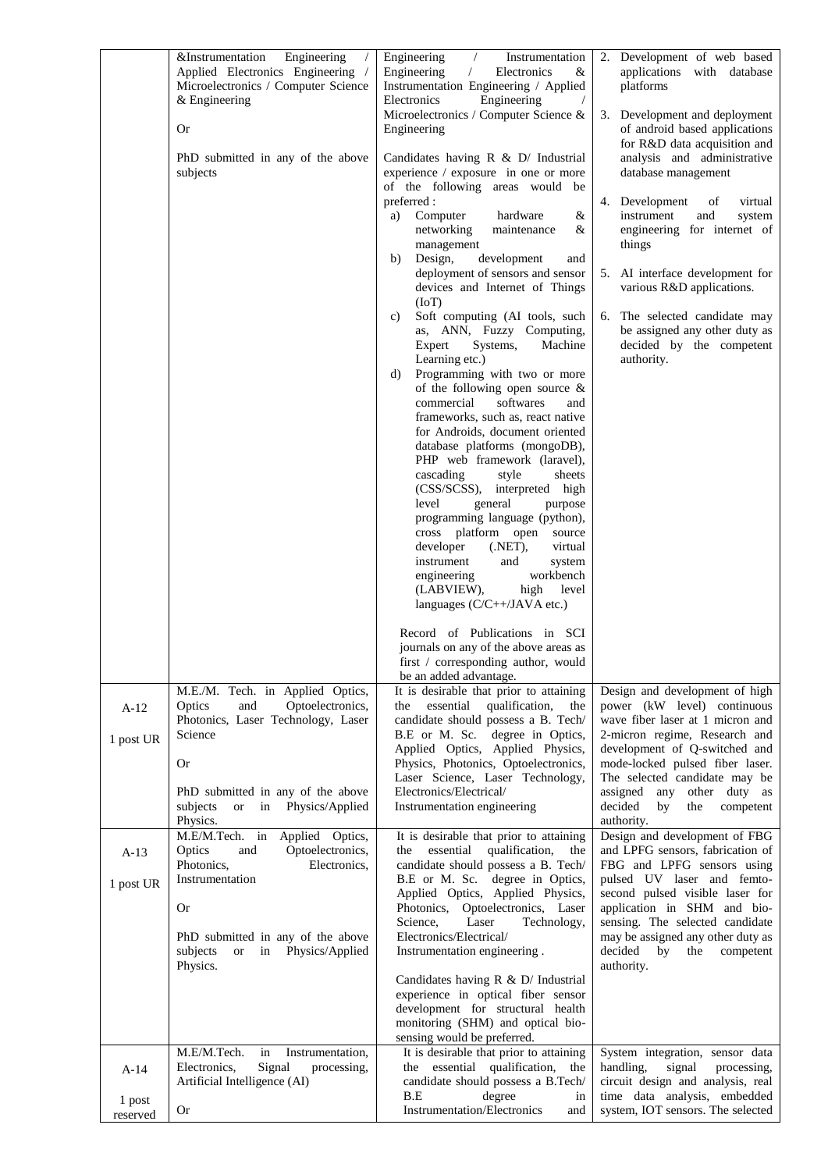|           | &Instrumentation Engineering                                                     | Engineering<br>$\sqrt{2}$<br>Instrumentation                                     | 2. Development of web based                                             |
|-----------|----------------------------------------------------------------------------------|----------------------------------------------------------------------------------|-------------------------------------------------------------------------|
|           | Applied Electronics Engineering /                                                | Engineering<br>$\sqrt{2}$<br>Electronics<br>&                                    | applications with database                                              |
|           | Microelectronics / Computer Science<br>& Engineering                             | Instrumentation Engineering / Applied<br>Electronics<br>Engineering              | platforms                                                               |
|           |                                                                                  | Microelectronics / Computer Science &                                            | 3. Development and deployment                                           |
|           | <b>Or</b>                                                                        | Engineering                                                                      | of android based applications<br>for R&D data acquisition and           |
|           | PhD submitted in any of the above                                                | Candidates having $R \& D/$ Industrial                                           | analysis and administrative                                             |
|           | subjects                                                                         | experience / exposure in one or more<br>of the following areas would be          | database management                                                     |
|           |                                                                                  | preferred:                                                                       | 4. Development<br>virtual<br>οf                                         |
|           |                                                                                  | Computer<br>hardware<br>a)<br>&                                                  | and<br>instrument<br>system                                             |
|           |                                                                                  | networking<br>maintenance<br>&                                                   | engineering for internet of<br>things                                   |
|           |                                                                                  | management<br>Design,<br>development<br>b)<br>and                                |                                                                         |
|           |                                                                                  | deployment of sensors and sensor                                                 | 5. AI interface development for                                         |
|           |                                                                                  | devices and Internet of Things                                                   | various R&D applications.                                               |
|           |                                                                                  | (IoT)<br>Soft computing (AI tools, such<br>c)                                    | The selected candidate may<br>6.                                        |
|           |                                                                                  | as, ANN, Fuzzy Computing,                                                        | be assigned any other duty as                                           |
|           |                                                                                  | Expert<br>Systems,<br>Machine                                                    | decided by the competent                                                |
|           |                                                                                  | Learning etc.)                                                                   | authority.                                                              |
|           |                                                                                  | Programming with two or more<br>d)<br>of the following open source $\&$          |                                                                         |
|           |                                                                                  | commercial<br>softwares<br>and                                                   |                                                                         |
|           |                                                                                  | frameworks, such as, react native                                                |                                                                         |
|           |                                                                                  | for Androids, document oriented<br>database platforms (mongoDB),                 |                                                                         |
|           |                                                                                  | PHP web framework (laravel),                                                     |                                                                         |
|           |                                                                                  | cascading<br>style<br>sheets                                                     |                                                                         |
|           |                                                                                  | (CSS/SCSS), interpreted high<br>level<br>general<br>purpose                      |                                                                         |
|           |                                                                                  | programming language (python),                                                   |                                                                         |
|           |                                                                                  | cross platform open<br>source                                                    |                                                                         |
|           |                                                                                  | developer<br>$(ANET)$ ,<br>virtual<br>instrument                                 |                                                                         |
|           |                                                                                  | and<br>system<br>workbench<br>engineering                                        |                                                                         |
|           |                                                                                  | (LABVIEW),<br>high<br>level                                                      |                                                                         |
|           |                                                                                  | languages (C/C++/JAVA etc.)                                                      |                                                                         |
|           |                                                                                  | Record of Publications in SCI                                                    |                                                                         |
|           |                                                                                  | journals on any of the above areas as                                            |                                                                         |
|           |                                                                                  | first / corresponding author, would                                              |                                                                         |
|           | M.E./M. Tech. in Applied Optics,                                                 | be an added advantage.<br>It is desirable that prior to attaining                | Design and development of high                                          |
| $A-12$    | and<br>Optoelectronics,<br>Optics                                                | essential<br>qualification,<br>the<br>the                                        | power (kW level) continuous                                             |
|           | Photonics, Laser Technology, Laser                                               | candidate should possess a B. Tech/                                              | wave fiber laser at 1 micron and                                        |
| 1 post UR | Science                                                                          | B.E or M. Sc. degree in Optics,<br>Applied Optics, Applied Physics,              | 2-micron regime, Research and<br>development of Q-switched and          |
|           | <b>Or</b>                                                                        | Physics, Photonics, Optoelectronics,                                             | mode-locked pulsed fiber laser.                                         |
|           |                                                                                  | Laser Science, Laser Technology,                                                 | The selected candidate may be                                           |
|           | PhD submitted in any of the above<br>in Physics/Applied<br>subjects<br><b>or</b> | Electronics/Electrical/<br>Instrumentation engineering                           | assigned any other duty as<br>decided<br>by<br>the<br>competent         |
|           | Physics.                                                                         |                                                                                  | authority.                                                              |
|           | M.E/M.Tech. in<br>Applied Optics,                                                | It is desirable that prior to attaining                                          | Design and development of FBG                                           |
| $A-13$    | Optoelectronics,<br>Optics<br>and<br>Photonics,<br>Electronics,                  | essential<br>qualification,<br>the<br>the<br>candidate should possess a B. Tech/ | and LPFG sensors, fabrication of<br>FBG and LPFG sensors using          |
| 1 post UR | Instrumentation                                                                  | B.E or M. Sc. degree in Optics,                                                  | pulsed UV laser and femto-                                              |
|           |                                                                                  | Applied Optics, Applied Physics,                                                 | second pulsed visible laser for                                         |
|           | Or                                                                               | Photonics, Optoelectronics, Laser<br>Science,<br>Laser                           | application in SHM and bio-<br>sensing. The selected candidate          |
|           | PhD submitted in any of the above                                                | Technology,<br>Electronics/Electrical/                                           | may be assigned any other duty as                                       |
|           | subjects<br>Physics/Applied<br>in<br>$\hbox{or}$<br>Physics.                     | Instrumentation engineering.                                                     | decided by<br>the<br>competent<br>authority.                            |
|           |                                                                                  | Candidates having $R \& D$ Industrial                                            |                                                                         |
|           |                                                                                  | experience in optical fiber sensor<br>development for structural health          |                                                                         |
|           |                                                                                  | monitoring (SHM) and optical bio-                                                |                                                                         |
|           |                                                                                  | sensing would be preferred.                                                      |                                                                         |
|           | M.E/M.Tech.<br>Instrumentation,<br>in                                            | It is desirable that prior to attaining                                          | System integration, sensor data                                         |
| $A-14$    | Electronics,<br>Signal<br>processing,<br>Artificial Intelligence (AI)            | the essential qualification, the<br>candidate should possess a B.Tech/           | handling,<br>signal<br>processing,<br>circuit design and analysis, real |
| 1 post    |                                                                                  | B.E<br>degree<br>in                                                              | time data analysis, embedded                                            |
| reserved  | <b>Or</b>                                                                        | Instrumentation/Electronics<br>and                                               | system, IOT sensors. The selected                                       |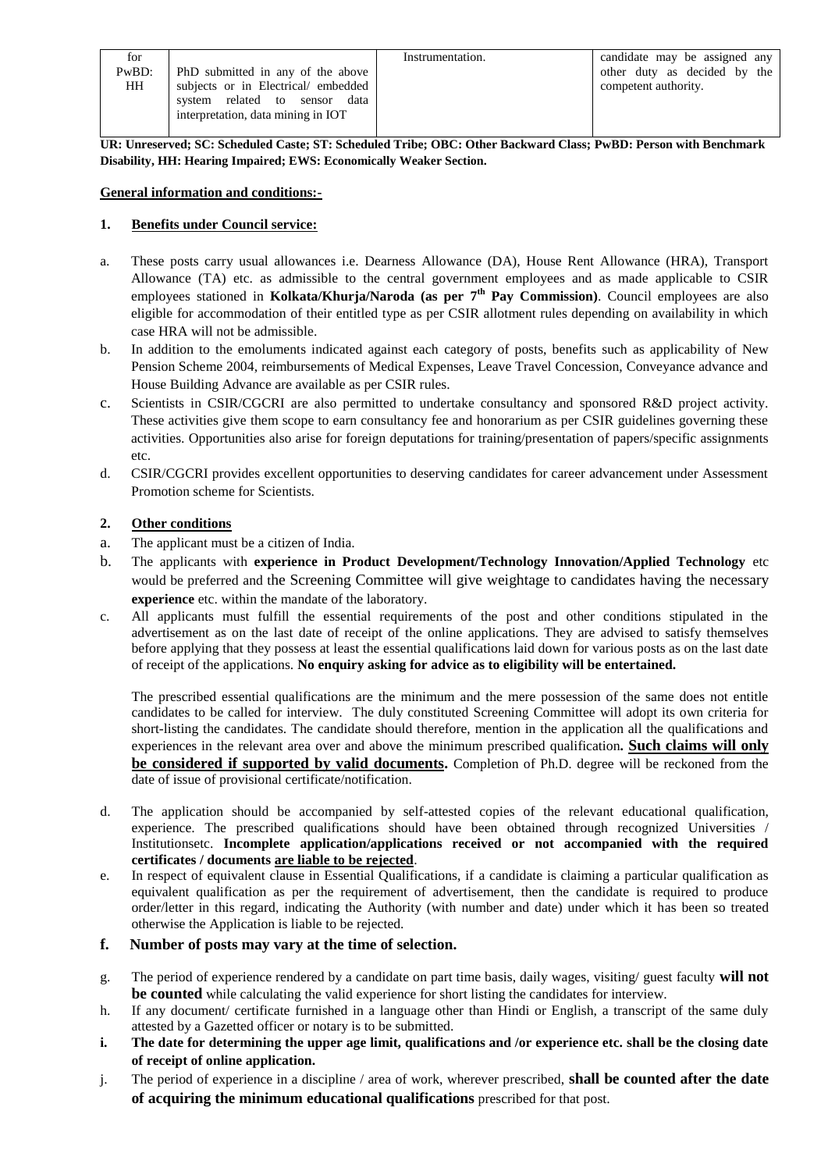| for   |                                     | Instrumentation. | candidate may be assigned any |
|-------|-------------------------------------|------------------|-------------------------------|
| PwBD: | PhD submitted in any of the above   |                  | other duty as decided by the  |
| HH    | subjects or in Electrical/ embedded |                  | competent authority.          |
|       | system related to sensor<br>data    |                  |                               |
|       | interpretation, data mining in IOT  |                  |                               |
|       |                                     |                  |                               |

**UR: Unreserved; SC: Scheduled Caste; ST: Scheduled Tribe; OBC: Other Backward Class; PwBD: Person with Benchmark Disability, HH: Hearing Impaired; EWS: Economically Weaker Section.**

#### **General information and conditions:-**

#### **1. Benefits under Council service:**

- a. These posts carry usual allowances i.e. Dearness Allowance (DA), House Rent Allowance (HRA), Transport Allowance (TA) etc. as admissible to the central government employees and as made applicable to CSIR employees stationed in **Kolkata/Khurja/Naroda (as per 7 th Pay Commission)**. Council employees are also eligible for accommodation of their entitled type as per CSIR allotment rules depending on availability in which case HRA will not be admissible.
- b. In addition to the emoluments indicated against each category of posts, benefits such as applicability of New Pension Scheme 2004, reimbursements of Medical Expenses, Leave Travel Concession, Conveyance advance and House Building Advance are available as per CSIR rules.
- c. Scientists in CSIR/CGCRI are also permitted to undertake consultancy and sponsored R&D project activity. These activities give them scope to earn consultancy fee and honorarium as per CSIR guidelines governing these activities. Opportunities also arise for foreign deputations for training/presentation of papers/specific assignments etc.
- d. CSIR/CGCRI provides excellent opportunities to deserving candidates for career advancement under Assessment Promotion scheme for Scientists.

#### **2. Other conditions**

- a. The applicant must be a citizen of India.
- b. The applicants with **experience in Product Development/Technology Innovation/Applied Technology** etc would be preferred and the Screening Committee will give weightage to candidates having the necessary **experience** etc. within the mandate of the laboratory.
- c. All applicants must fulfill the essential requirements of the post and other conditions stipulated in the advertisement as on the last date of receipt of the online applications. They are advised to satisfy themselves before applying that they possess at least the essential qualifications laid down for various posts as on the last date of receipt of the applications. **No enquiry asking for advice as to eligibility will be entertained.**

The prescribed essential qualifications are the minimum and the mere possession of the same does not entitle candidates to be called for interview. The duly constituted Screening Committee will adopt its own criteria for short-listing the candidates. The candidate should therefore, mention in the application all the qualifications and experiences in the relevant area over and above the minimum prescribed qualification**. Such claims will only be considered if supported by valid documents.** Completion of Ph.D. degree will be reckoned from the date of issue of provisional certificate/notification.

- d. The application should be accompanied by self-attested copies of the relevant educational qualification, experience. The prescribed qualifications should have been obtained through recognized Universities / Institutionsetc. **Incomplete application/applications received or not accompanied with the required certificates / documents are liable to be rejected**.
- e. In respect of equivalent clause in Essential Qualifications, if a candidate is claiming a particular qualification as equivalent qualification as per the requirement of advertisement, then the candidate is required to produce order/letter in this regard, indicating the Authority (with number and date) under which it has been so treated otherwise the Application is liable to be rejected.

#### **f. Number of posts may vary at the time of selection.**

- g. The period of experience rendered by a candidate on part time basis, daily wages, visiting/ guest faculty **will not be counted** while calculating the valid experience for short listing the candidates for interview.
- h. If any document/ certificate furnished in a language other than Hindi or English, a transcript of the same duly attested by a Gazetted officer or notary is to be submitted.
- **i. The date for determining the upper age limit, qualifications and /or experience etc. shall be the closing date of receipt of online application.**
- j. The period of experience in a discipline / area of work, wherever prescribed, **shall be counted after the date of acquiring the minimum educational qualifications** prescribed for that post.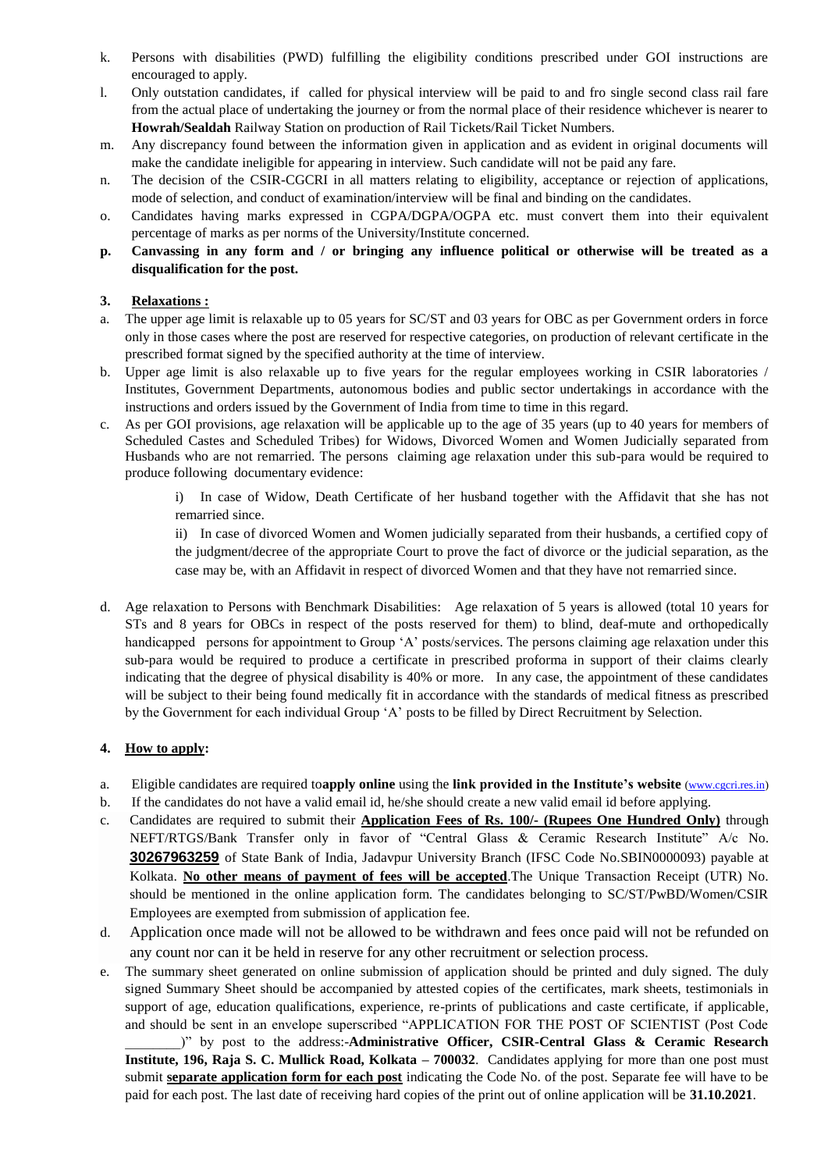- k. Persons with disabilities (PWD) fulfilling the eligibility conditions prescribed under GOI instructions are encouraged to apply.
- l. Only outstation candidates, if called for physical interview will be paid to and fro single second class rail fare from the actual place of undertaking the journey or from the normal place of their residence whichever is nearer to **Howrah/Sealdah** Railway Station on production of Rail Tickets/Rail Ticket Numbers.
- m. Any discrepancy found between the information given in application and as evident in original documents will make the candidate ineligible for appearing in interview. Such candidate will not be paid any fare.
- n. The decision of the CSIR-CGCRI in all matters relating to eligibility, acceptance or rejection of applications, mode of selection, and conduct of examination/interview will be final and binding on the candidates.
- o. Candidates having marks expressed in CGPA/DGPA/OGPA etc. must convert them into their equivalent percentage of marks as per norms of the University/Institute concerned.
- **p. Canvassing in any form and / or bringing any influence political or otherwise will be treated as a disqualification for the post.**

## **3. Relaxations :**

- a. The upper age limit is relaxable up to 05 years for SC/ST and 03 years for OBC as per Government orders in force only in those cases where the post are reserved for respective categories, on production of relevant certificate in the prescribed format signed by the specified authority at the time of interview.
- b. Upper age limit is also relaxable up to five years for the regular employees working in CSIR laboratories / Institutes, Government Departments, autonomous bodies and public sector undertakings in accordance with the instructions and orders issued by the Government of India from time to time in this regard.
- c. As per GOI provisions, age relaxation will be applicable up to the age of 35 years (up to 40 years for members of Scheduled Castes and Scheduled Tribes) for Widows, Divorced Women and Women Judicially separated from Husbands who are not remarried. The persons claiming age relaxation under this sub-para would be required to produce following documentary evidence:

i) In case of Widow, Death Certificate of her husband together with the Affidavit that she has not remarried since.

ii) In case of divorced Women and Women judicially separated from their husbands, a certified copy of the judgment/decree of the appropriate Court to prove the fact of divorce or the judicial separation, as the case may be, with an Affidavit in respect of divorced Women and that they have not remarried since.

d. Age relaxation to Persons with Benchmark Disabilities: Age relaxation of 5 years is allowed (total 10 years for STs and 8 years for OBCs in respect of the posts reserved for them) to blind, deaf-mute and orthopedically handicapped persons for appointment to Group 'A' posts/services. The persons claiming age relaxation under this sub-para would be required to produce a certificate in prescribed proforma in support of their claims clearly indicating that the degree of physical disability is 40% or more. In any case, the appointment of these candidates will be subject to their being found medically fit in accordance with the standards of medical fitness as prescribed by the Government for each individual Group "A" posts to be filled by Direct Recruitment by Selection.

## **4. How to apply:**

- a. Eligible candidates are required to**apply online** using the **link provided in the Institute's website** [\(www.cgcri.res.in\)](http://www.cgcri.res.in/)
- b. If the candidates do not have a valid email id, he/she should create a new valid email id before applying.
- c. Candidates are required to submit their **Application Fees of Rs. 100/- (Rupees One Hundred Only)** through NEFT/RTGS/Bank Transfer only in favor of "Central Glass & Ceramic Research Institute" A/c No. **30267963259** of State Bank of India, Jadavpur University Branch (IFSC Code No.SBIN0000093) payable at Kolkata. **No other means of payment of fees will be accepted**.The Unique Transaction Receipt (UTR) No. should be mentioned in the online application form. The candidates belonging to SC/ST/PwBD/Women/CSIR Employees are exempted from submission of application fee.
- d. Application once made will not be allowed to be withdrawn and fees once paid will not be refunded on any count nor can it be held in reserve for any other recruitment or selection process.
- e. The summary sheet generated on online submission of application should be printed and duly signed. The duly signed Summary Sheet should be accompanied by attested copies of the certificates, mark sheets, testimonials in support of age, education qualifications, experience, re-prints of publications and caste certificate, if applicable, and should be sent in an envelope superscribed "APPLICATION FOR THE POST OF SCIENTIST (Post Code

\_\_\_\_\_\_\_\_)" by post to the address:-**Administrative Officer, CSIR-Central Glass & Ceramic Research Institute, 196, Raja S. C. Mullick Road, Kolkata – 700032**. Candidates applying for more than one post must submit **separate application form for each post** indicating the Code No. of the post. Separate fee will have to be paid for each post. The last date of receiving hard copies of the print out of online application will be **31.10.2021**.